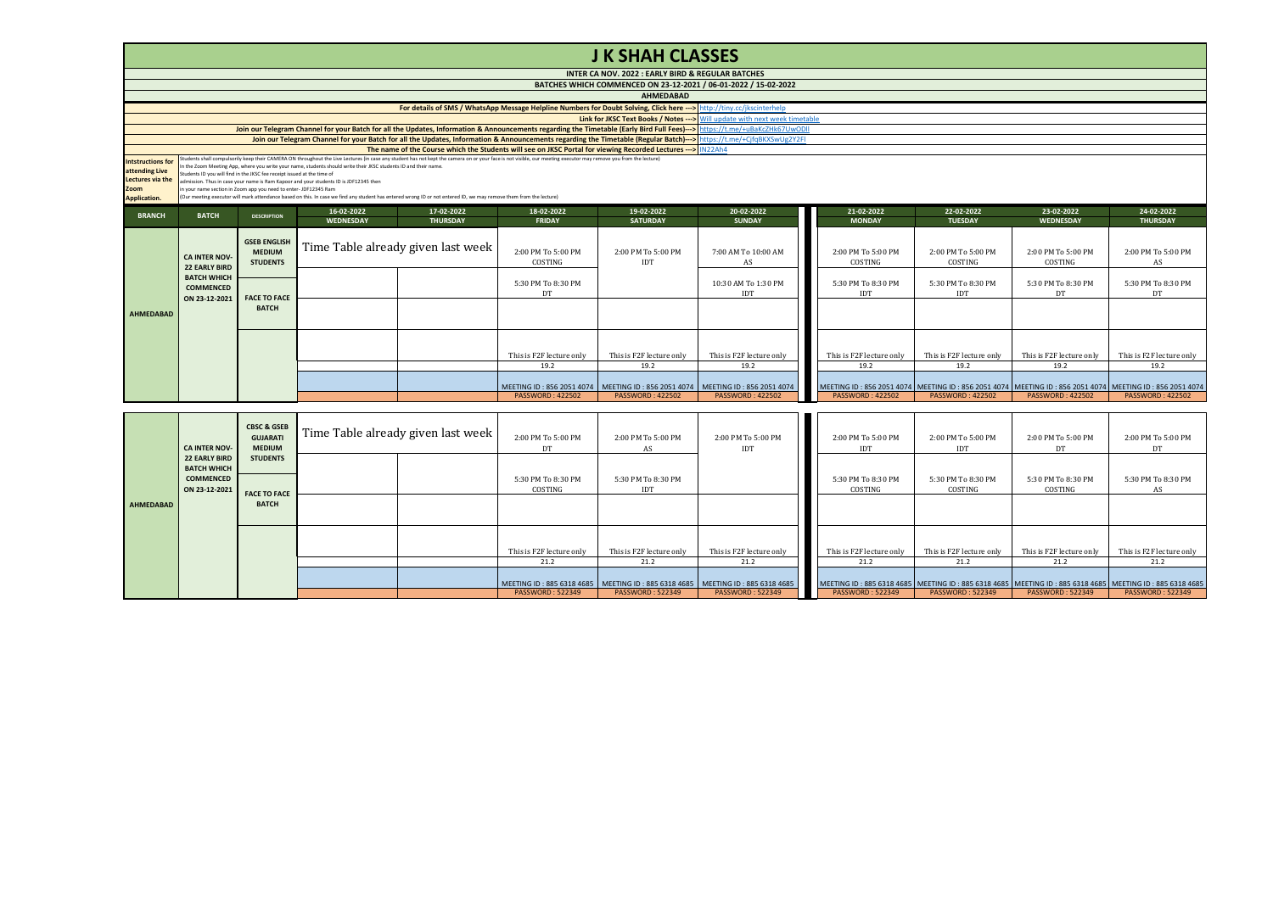|                                                                                        | <b>J K SHAH CLASSES</b>                                                                                                                                                                                                                                                                                                                                                                                                                                                                                                                                                                                                                                                                                                                           |                                                         |                         |                                    |                               |                                                   |                                                                 |  |                                  |                                  |                                                                                                         |                               |  |
|----------------------------------------------------------------------------------------|---------------------------------------------------------------------------------------------------------------------------------------------------------------------------------------------------------------------------------------------------------------------------------------------------------------------------------------------------------------------------------------------------------------------------------------------------------------------------------------------------------------------------------------------------------------------------------------------------------------------------------------------------------------------------------------------------------------------------------------------------|---------------------------------------------------------|-------------------------|------------------------------------|-------------------------------|---------------------------------------------------|-----------------------------------------------------------------|--|----------------------------------|----------------------------------|---------------------------------------------------------------------------------------------------------|-------------------------------|--|
|                                                                                        |                                                                                                                                                                                                                                                                                                                                                                                                                                                                                                                                                                                                                                                                                                                                                   |                                                         |                         |                                    |                               | INTER CA NOV. 2022 : EARLY BIRD & REGULAR BATCHES |                                                                 |  |                                  |                                  |                                                                                                         |                               |  |
|                                                                                        |                                                                                                                                                                                                                                                                                                                                                                                                                                                                                                                                                                                                                                                                                                                                                   |                                                         |                         |                                    |                               |                                                   | BATCHES WHICH COMMENCED ON 23-12-2021 / 06-01-2022 / 15-02-2022 |  |                                  |                                  |                                                                                                         |                               |  |
|                                                                                        |                                                                                                                                                                                                                                                                                                                                                                                                                                                                                                                                                                                                                                                                                                                                                   |                                                         |                         |                                    |                               | <b>AHMEDABAD</b>                                  |                                                                 |  |                                  |                                  |                                                                                                         |                               |  |
|                                                                                        | For details of SMS / WhatsApp Message Helpline Numbers for Doubt Solving, Click here ---> http://tiny.cc/jkscinterhelp<br>Link for JKSC Text Books / Notes --- > Will update with next week timetable                                                                                                                                                                                                                                                                                                                                                                                                                                                                                                                                             |                                                         |                         |                                    |                               |                                                   |                                                                 |  |                                  |                                  |                                                                                                         |                               |  |
|                                                                                        | Join our Telegram Channel for your Batch for all the Updates, Information & Announcements regarding the Timetable (Early Bird Full Fees)---> https://t.me/+uBaKcZHk67UwODll                                                                                                                                                                                                                                                                                                                                                                                                                                                                                                                                                                       |                                                         |                         |                                    |                               |                                                   |                                                                 |  |                                  |                                  |                                                                                                         |                               |  |
|                                                                                        | Join our Telegram Channel for your Batch for all the Updates, Information & Announcements regarding the Timetable (Regular Batch)---> https://t.me/+CjfqBKXSwUg2Y2FI                                                                                                                                                                                                                                                                                                                                                                                                                                                                                                                                                                              |                                                         |                         |                                    |                               |                                                   |                                                                 |  |                                  |                                  |                                                                                                         |                               |  |
|                                                                                        | The name of the Course which the Students will see on JKSC Portal for viewing Recorded Lectures --- >   IN22Ah4                                                                                                                                                                                                                                                                                                                                                                                                                                                                                                                                                                                                                                   |                                                         |                         |                                    |                               |                                                   |                                                                 |  |                                  |                                  |                                                                                                         |                               |  |
| <b>Intstructions for</b><br>attending Live<br>Lectures via the<br>Zoom<br>Application. | Students shall compulsorily keep their CAMERA ON throughout the Live Lectures (in case any student has not kept the camera on or your face is not visible, our meeting executor may remove you from the lecture)<br>In the Zoom Meeting App, where you write your name, students should write their JKSC students ID and their name.<br>Students ID you will find in the JKSC fee receipt issued at the time of<br>admission. Thus in case your name is Ram Kappor and your students ID is JDF12345 then<br>in your name section in Zoom app you need to enter-JDF12345 Ram<br>(Our meeting executor will mark attendance based on this. In case we find any student has entered wrong ID or not entered ID, we may remove them from the lecture) |                                                         |                         |                                    |                               |                                                   |                                                                 |  |                                  |                                  |                                                                                                         |                               |  |
| <b>BRANCH</b>                                                                          | <b>BATCH</b>                                                                                                                                                                                                                                                                                                                                                                                                                                                                                                                                                                                                                                                                                                                                      | <b>DESCRIPTION</b>                                      | 16-02-2022<br>WEDNESDAY | 17-02-2022<br><b>THURSDAY</b>      | 18-02-2022<br><b>FRIDAY</b>   | 19-02-2022<br><b>SATURDAY</b>                     | 20-02-2022<br><b>SUNDAY</b>                                     |  | 21-02-2022<br><b>MONDAY</b>      | 22-02-2022<br><b>TUESDAY</b>     | 23-02-2022<br><b>WEDNESDAY</b>                                                                          | 24-02-2022<br><b>THURSDAY</b> |  |
|                                                                                        | <b>CA INTER NOV-</b><br><b>22 EARLY BIRD</b>                                                                                                                                                                                                                                                                                                                                                                                                                                                                                                                                                                                                                                                                                                      | <b>GSEB ENGLISH</b><br><b>MEDIUM</b><br><b>STUDENTS</b> |                         | Time Table already given last week | 2:00 PM To 5:00 PM<br>COSTING | 2:00 PM To 5:00 PM<br>IDT                         | 7:00 AM To 10:00 AM<br>AS                                       |  | 2:00 PM To 5:00 PM<br>COSTING    | 2:00 PM To 5:00 PM<br>COSTING    | 2:00 PM To 5:00 PM<br>COSTING                                                                           | 2:00 PM To 5:00 PM<br>AS      |  |
|                                                                                        | <b>BATCH WHICH</b><br><b>COMMENCED</b><br>ON 23-12-2021                                                                                                                                                                                                                                                                                                                                                                                                                                                                                                                                                                                                                                                                                           | <b>FACE TO FACE</b>                                     |                         |                                    | 5:30 PM To 8:30 PM<br>DT      |                                                   | 10:30 AM To 1:30 PM<br>IDT                                      |  | 5:30 PM To 8:30 PM<br><b>IDT</b> | 5:30 PM To 8:30 PM<br><b>IDT</b> | 5:30 PM To 8:30 PM<br>DT                                                                                | 5:30 PM To 8:30 PM<br>DT      |  |
| <b>AHMEDABAD</b>                                                                       |                                                                                                                                                                                                                                                                                                                                                                                                                                                                                                                                                                                                                                                                                                                                                   | <b>BATCH</b>                                            |                         |                                    |                               |                                                   |                                                                 |  |                                  |                                  |                                                                                                         |                               |  |
|                                                                                        |                                                                                                                                                                                                                                                                                                                                                                                                                                                                                                                                                                                                                                                                                                                                                   |                                                         |                         |                                    | This is F2F lecture only      | This is F2F lecture only                          | This is F2F lecture only                                        |  | This is F2F lecture only         | This is F2F lecture only         | This is F2F lecture only                                                                                | This is F2F lecture only      |  |
|                                                                                        |                                                                                                                                                                                                                                                                                                                                                                                                                                                                                                                                                                                                                                                                                                                                                   |                                                         |                         |                                    | 19.2                          | 19.2                                              | 19.2                                                            |  | 19.2                             | 19.2                             | 19.2                                                                                                    | 19.2                          |  |
|                                                                                        |                                                                                                                                                                                                                                                                                                                                                                                                                                                                                                                                                                                                                                                                                                                                                   |                                                         |                         |                                    | MEETING ID: 856 2051 4074     | MEETING ID: 856 2051 4074                         | MEETING ID: 856 2051 4074                                       |  |                                  |                                  | MEETING ID: 856 2051 4074 MEETING ID: 856 2051 4074 MEETING ID: 856 2051 4074 MEETING ID: 856 2051 4074 |                               |  |
|                                                                                        |                                                                                                                                                                                                                                                                                                                                                                                                                                                                                                                                                                                                                                                                                                                                                   |                                                         |                         |                                    | <b>PASSWORD: 422502</b>       | <b>PASSWORD: 422502</b>                           | <b>PASSWORD: 422502</b>                                         |  | <b>PASSWORD: 422502</b>          | <b>PASSWORD: 422502</b>          | <b>PASSWORD: 422502</b>                                                                                 | <b>PASSWORD: 422502</b>       |  |

| <b>CA INTER NOV-</b><br>AHMEDABAD | <b>22 EARLY BIRD</b><br><b>BATCH WHICH</b><br><b>COMMENCED</b><br>ON 23-12-2021 | <b>MEDIUM</b><br><b>STUDENTS</b><br><b>FACE TO FACE</b><br><b>BATCH</b> |  | DT<br>5:30 PM To 8:30 PM<br>COSTING                                                                                                       | AS<br>5:30 PM To 8:30 PM<br><b>IDT</b>                      | IDT                                                         | <b>IDT</b><br>5:30 PM To 8:30 PM<br>COSTING                                                                                                                     | IDT<br>5:30 PM To 8:30 PM<br>COSTING                 | DT<br>5:30 PM To 8:30 PM<br>COSTING                         | DT<br>5:30 PM To 8:30 PM<br>AS                              |
|-----------------------------------|---------------------------------------------------------------------------------|-------------------------------------------------------------------------|--|-------------------------------------------------------------------------------------------------------------------------------------------|-------------------------------------------------------------|-------------------------------------------------------------|-----------------------------------------------------------------------------------------------------------------------------------------------------------------|------------------------------------------------------|-------------------------------------------------------------|-------------------------------------------------------------|
|                                   |                                                                                 |                                                                         |  | This is F2F lecture only<br>21.2<br>MEETING ID: 885 6318 4685   MEETING ID: 885 6318 4685   MEETING ID: 885 6318 4685<br>PASSWORD: 522349 | This is F2F lecture only<br>21.2<br><b>PASSWORD: 522349</b> | This is F2F lecture only<br>21.2<br><b>PASSWORD: 522349</b> | This is F2F lecture only<br>21.2<br>MEETING ID: 885 6318 4685 MEETING ID: 885 6318 4685 MEETING ID: 885 6318 4685 MEETING ID: 885 6318 4685<br>PASSWORD: 522349 | This is F2F lecture only<br>21.2<br>PASSWORD: 522349 | This is F2F lecture only<br>21.2<br><b>PASSWORD: 522349</b> | This is F2F lecture only<br>21.2<br><b>PASSWORD: 522349</b> |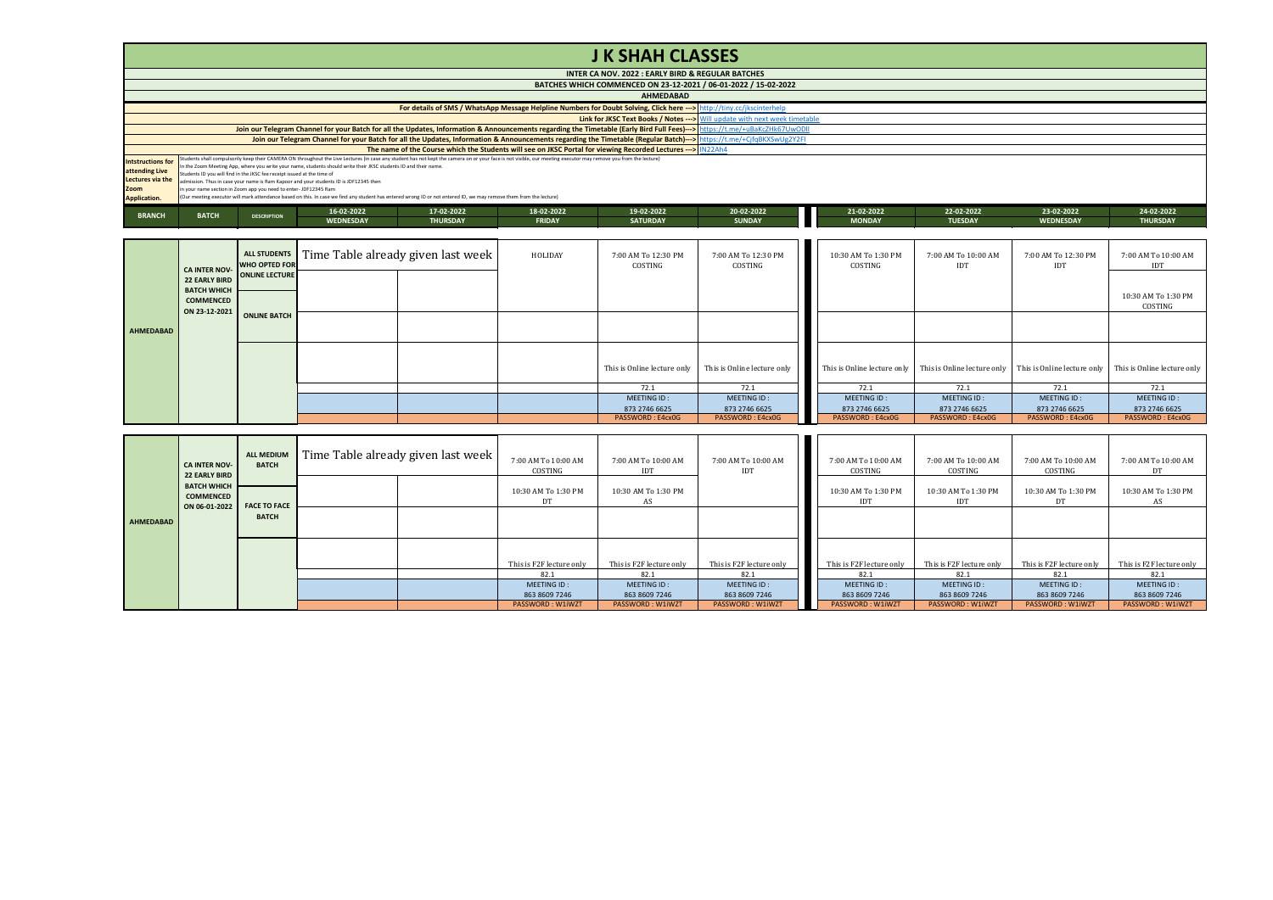## **J K SHAH CLASSES**

|                          |                                                                                                                                                                      |                                                                                                                                                                             |                                                                                                                  |                                                                                                                                                                                                                  |               | INTER CA NOV. 2022 : EARLY BIRD & REGULAR BATCHES |                                                                 |               |                |                  |                 |  |  |
|--------------------------|----------------------------------------------------------------------------------------------------------------------------------------------------------------------|-----------------------------------------------------------------------------------------------------------------------------------------------------------------------------|------------------------------------------------------------------------------------------------------------------|------------------------------------------------------------------------------------------------------------------------------------------------------------------------------------------------------------------|---------------|---------------------------------------------------|-----------------------------------------------------------------|---------------|----------------|------------------|-----------------|--|--|
|                          |                                                                                                                                                                      |                                                                                                                                                                             |                                                                                                                  |                                                                                                                                                                                                                  |               |                                                   | BATCHES WHICH COMMENCED ON 23-12-2021 / 06-01-2022 / 15-02-2022 |               |                |                  |                 |  |  |
|                          | <b>AHMEDABAD</b>                                                                                                                                                     |                                                                                                                                                                             |                                                                                                                  |                                                                                                                                                                                                                  |               |                                                   |                                                                 |               |                |                  |                 |  |  |
|                          | For details of SMS / WhatsApp Message Helpline Numbers for Doubt Solving, Click here --- > http://tiny.cc/jkscinterhelp                                              |                                                                                                                                                                             |                                                                                                                  |                                                                                                                                                                                                                  |               |                                                   |                                                                 |               |                |                  |                 |  |  |
|                          |                                                                                                                                                                      | <b>Link for JKSC Text Books / Notes ---&gt;</b> Will update with next week timetable                                                                                        |                                                                                                                  |                                                                                                                                                                                                                  |               |                                                   |                                                                 |               |                |                  |                 |  |  |
|                          |                                                                                                                                                                      | Join our Telegram Channel for your Batch for all the Updates, Information & Announcements regarding the Timetable (Early Bird Full Fees)---> https://t.me/+uBaKcZHk67UwODII |                                                                                                                  |                                                                                                                                                                                                                  |               |                                                   |                                                                 |               |                |                  |                 |  |  |
|                          | Join our Telegram Channel for your Batch for all the Updates, Information & Announcements regarding the Timetable (Regular Batch)---> https://t.me/+CjfqBKXSwUg2Y2Fl |                                                                                                                                                                             |                                                                                                                  |                                                                                                                                                                                                                  |               |                                                   |                                                                 |               |                |                  |                 |  |  |
|                          | The name of the Course which the Students will see on JKSC Portal for viewing Recorded Lectures --- > IN22Ah4                                                        |                                                                                                                                                                             |                                                                                                                  |                                                                                                                                                                                                                  |               |                                                   |                                                                 |               |                |                  |                 |  |  |
| <b>Intstructions for</b> |                                                                                                                                                                      |                                                                                                                                                                             |                                                                                                                  | Students shall compulsorily keep their CAMERA ON throughout the Live Lectures (in case any student has not kept the camera on or your face is not visible, our meeting executor may remove you from the lecture) |               |                                                   |                                                                 |               |                |                  |                 |  |  |
| attending Live           | Students ID you will find in the JKSC fee receipt issued at the time of                                                                                              |                                                                                                                                                                             | In the Zoom Meeting App, where you write your name, students should write their JKSC students ID and their name. |                                                                                                                                                                                                                  |               |                                                   |                                                                 |               |                |                  |                 |  |  |
| Lectures via the         |                                                                                                                                                                      |                                                                                                                                                                             | admission. Thus in case your name is Ram Kappor and your students ID is JDF12345 then                            |                                                                                                                                                                                                                  |               |                                                   |                                                                 |               |                |                  |                 |  |  |
| Zoom                     | in your name section in Zoom app you need to enter- JDF12345 Ram                                                                                                     |                                                                                                                                                                             |                                                                                                                  |                                                                                                                                                                                                                  |               |                                                   |                                                                 |               |                |                  |                 |  |  |
| <b>Application.</b>      |                                                                                                                                                                      |                                                                                                                                                                             |                                                                                                                  | (Our meeting executor will mark attendance based on this. In case we find any student has entered wrong ID or not entered ID, we may remove them from the lecture)                                               |               |                                                   |                                                                 |               |                |                  |                 |  |  |
|                          | <b>BATCH</b>                                                                                                                                                         |                                                                                                                                                                             | 16-02-2022                                                                                                       | 17-02-2022                                                                                                                                                                                                       | 18-02-2022    | 19-02-2022                                        | 20-02-2022                                                      | 21-02-2022    | 22-02-2022     | 23-02-2022       | 24-02-2022      |  |  |
| <b>BRANCH</b>            |                                                                                                                                                                      | <b>DESCRIPTION</b>                                                                                                                                                          | <b>WEDNESDAY</b>                                                                                                 | <b>THURSDAY</b>                                                                                                                                                                                                  | <b>FRIDAY</b> | <b>SATURDAY</b>                                   | <b>SUNDAY</b>                                                   | <b>MONDAY</b> | <b>TUESDAY</b> | <b>WEDNESDAY</b> | <b>THURSDAY</b> |  |  |

|           | <b>CA INTER NOV-</b>                                    | <b>ALL STUDENTS</b><br><b>WHO OPTED FOR</b><br>22 EARLY BIRD ONLINE LECTURE | Time Table already given last week | HOLIDAY | 7:00 AM To 12:30 PM<br>COSTING | 7:00 AM To 12:30 PM<br>COSTING | 10:30 AM To 1:30 PM<br>COSTING | 7:00 AM To 10:00 AM<br>IDT | 7:00 AM To 12:30 PM<br>IDT | 7:00 AM To 10:00 AM<br>IDT                                                          |
|-----------|---------------------------------------------------------|-----------------------------------------------------------------------------|------------------------------------|---------|--------------------------------|--------------------------------|--------------------------------|----------------------------|----------------------------|-------------------------------------------------------------------------------------|
|           | <b>BATCH WHICH</b><br><b>COMMENCED</b><br>ON 23-12-2021 |                                                                             |                                    |         |                                |                                |                                |                            |                            | 10:30 AM To 1:30 PM<br>COSTING                                                      |
| AHMEDABAD |                                                         | <b>ONLINE BATCH</b>                                                         |                                    |         |                                |                                |                                |                            |                            |                                                                                     |
|           |                                                         |                                                                             |                                    |         | This is Online lecture only    | This is Online lecture only    | This is Online lecture only    |                            |                            | This is Online lecture only This is Online lecture only This is Online lecture only |
|           |                                                         |                                                                             |                                    |         | 72.1<br>MEETING ID:            | 72.1<br>MEETING ID:            | 72.1<br>MEETING ID:            | 72.1<br>MEETING ID:        | 72.1<br>MEETING ID:        | 72.1<br>MEETING ID:                                                                 |
|           |                                                         |                                                                             |                                    |         | 873 2746 6625                  | 873 2746 6625                  | 873 2746 6625                  | 873 2746 6625              | 873 2746 6625              | 873 2746 6625                                                                       |
|           |                                                         |                                                                             |                                    |         | PASSWORD: E4cx0G               | PASSWORD: E4cx0G               | PASSWORD: E4cx0G               | PASSWORD: E4cx0G           | PASSWORD: E4cx0G           | PASSWORD: E4cx0G                                                                    |

|           | <b>CA INTER NOV-</b><br><b>22 EARLY BIRD</b>            | <b>ALL MEDIUM</b><br><b>BATCH</b> | [Time Table already given last week ] | 7:00 AM To 10:00 AM<br>COSTING | 7:00 AM To 10:00 AM<br>IDT | 7:00 AM To 10:00 AM<br><b>IDT</b> | 7:00 AM To 10:00 AM<br>COSTING    | 7:00 AM To 10:00 AM<br>COSTING | 7:00 AM To 10:00 AM<br>COSTING | 7:00 AM To 10:00 AM<br>DT |
|-----------|---------------------------------------------------------|-----------------------------------|---------------------------------------|--------------------------------|----------------------------|-----------------------------------|-----------------------------------|--------------------------------|--------------------------------|---------------------------|
|           | <b>BATCH WHICH</b><br><b>COMMENCED</b><br>ON 06-01-2022 | <b>FACE TO FACE</b>               |                                       | 10:30 AM To 1:30 PM<br>DT      | 10:30 AM To 1:30 PM<br>AS  |                                   | 10:30 AM To 1:30 PM<br><b>IDT</b> | 10:30 AM To 1:30 PM<br>IDT     | 10:30 AM To 1:30 PM<br>DТ      | 10:30 AM To 1:30 PM<br>AS |
| AHMEDABAD |                                                         | <b>BATCH</b>                      |                                       |                                |                            |                                   |                                   |                                |                                |                           |
|           |                                                         |                                   |                                       | This is F2F lecture only       | This is F2F lecture only   | This is F2F lecture only          | This is F2F lecture only          | This is F2F lecture only       | This is F2F lecture only       | This is F2F lecture only  |
|           |                                                         |                                   |                                       | 82.1                           | 82.1                       | 82.1                              | 82.1                              | 82.1                           | 82.1                           | 82.1                      |
|           |                                                         |                                   |                                       | MEETING ID:                    | MEETING ID:                | MEETING ID:                       | MEETING ID:                       | MEETING ID:                    | MEETING ID:                    | MEETING ID:               |
|           |                                                         |                                   |                                       | 863 8609 7246                  | 863 8609 7246              | 863 8609 7246                     | 863 8609 7246                     | 863 8609 7246                  | 863 8609 7246                  | 863 8609 7246             |
|           |                                                         |                                   |                                       | PASSWORD: W1iWZT               | PASSWORD: W1iWZT           | PASSWORD: W1iWZT                  | PASSWORD: W1iWZT                  | PASSWORD: W1iWZT               | <b>PASSWORD: W1iWZT</b>        | PASSWORD: W1iWZT          |